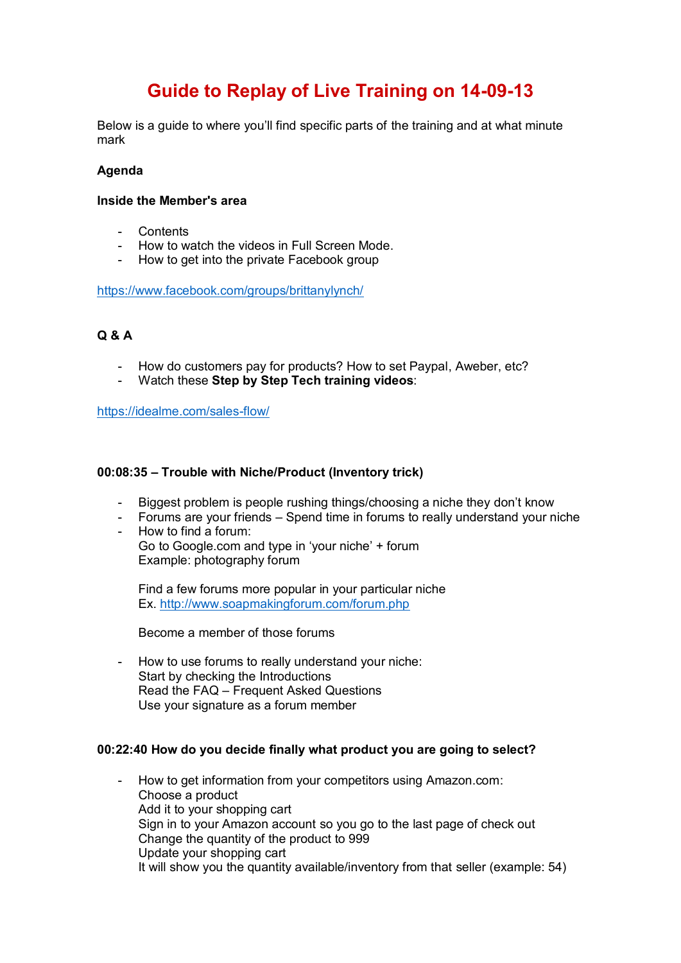# **Guide to Replay of Live Training on 14-09-13**

Below is a guide to where you'll find specific parts of the training and at what minute mark

# **Agenda**

## **Inside the Member's area**

- Contents
- How to watch the videos in Full Screen Mode.
- How to get into the private Facebook group

<https://www.facebook.com/groups/brittanylynch/>

# **Q & A**

- How do customers pay for products? How to set Paypal, Aweber, etc?
- Watch these **Step by Step Tech training videos**:

<https://idealme.com/sales-flow/>

## **00:08:35 – Trouble with Niche/Product (Inventory trick)**

- Biggest problem is people rushing things/choosing a niche they don't know
- Forums are your friends Spend time in forums to really understand your niche - How to find a forum:
- Go to Google.com and type in 'your niche' + forum Example: photography forum

Find a few forums more popular in your particular niche Ex.<http://www.soapmakingforum.com/forum.php>

Become a member of those forums

- How to use forums to really understand your niche: Start by checking the Introductions Read the FAQ – Frequent Asked Questions Use your signature as a forum member

# **00:22:40 How do you decide finally what product you are going to select?**

- How to get information from your competitors using Amazon.com: Choose a product Add it to your shopping cart Sign in to your Amazon account so you go to the last page of check out Change the quantity of the product to 999 Update your shopping cart It will show you the quantity available/inventory from that seller (example: 54)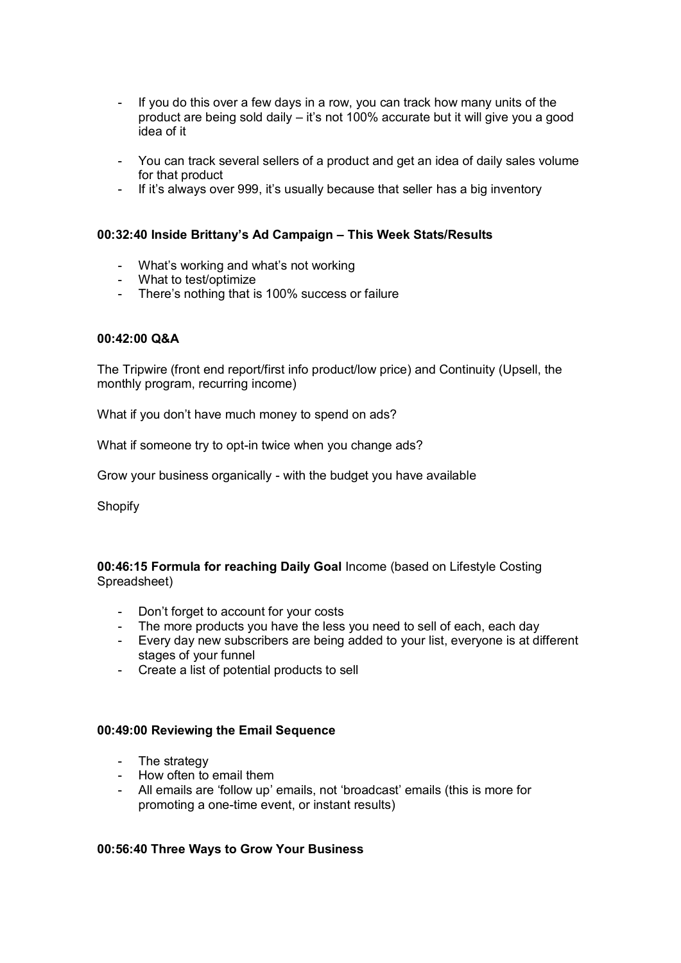- If you do this over a few days in a row, you can track how many units of the product are being sold daily – it's not 100% accurate but it will give you a good idea of it
- You can track several sellers of a product and get an idea of daily sales volume for that product
- If it's always over 999, it's usually because that seller has a big inventory

## **00:32:40 Inside Brittany's Ad Campaign – This Week Stats/Results**

- What's working and what's not working
- What to test/optimize
- There's nothing that is 100% success or failure

## **00:42:00 Q&A**

The Tripwire (front end report/first info product/low price) and Continuity (Upsell, the monthly program, recurring income)

What if you don't have much money to spend on ads?

What if someone try to opt-in twice when you change ads?

Grow your business organically - with the budget you have available

**Shopify** 

**00:46:15 Formula for reaching Daily Goal** Income (based on Lifestyle Costing Spreadsheet)

- Don't forget to account for your costs
- The more products you have the less you need to sell of each, each day
- Every day new subscribers are being added to your list, everyone is at different stages of your funnel
- Create a list of potential products to sell

#### **00:49:00 Reviewing the Email Sequence**

- The strategy
- How often to email them
- All emails are 'follow up' emails, not 'broadcast' emails (this is more for promoting a one-time event, or instant results)

#### **00:56:40 Three Ways to Grow Your Business**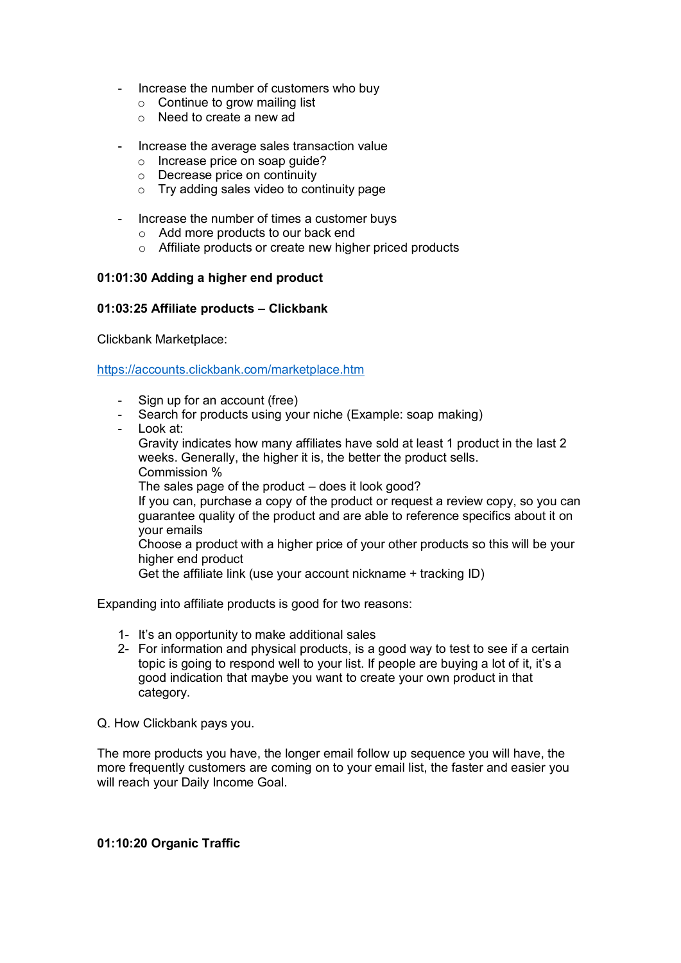- Increase the number of customers who buy
	- $\circ$  Continue to grow mailing list
	- o Need to create a new ad
- Increase the average sales transaction value
	- o Increase price on soap guide?
	- o Decrease price on continuity
	- $\circ$  Try adding sales video to continuity page
- Increase the number of times a customer buys
	- o Add more products to our back end
	- o Affiliate products or create new higher priced products

## **01:01:30 Adding a higher end product**

## **01:03:25 Affiliate products – Clickbank**

Clickbank Marketplace:

<https://accounts.clickbank.com/marketplace.htm>

- Sign up for an account (free)
- Search for products using your niche (Example: soap making)
- Look at:

Gravity indicates how many affiliates have sold at least 1 product in the last 2 weeks. Generally, the higher it is, the better the product sells. Commission % The sales page of the product – does it look good? If you can, purchase a copy of the product or request a review copy, so you can guarantee quality of the product and are able to reference specifics about it on your emails Choose a product with a higher price of your other products so this will be your higher end product Get the affiliate link (use your account nickname + tracking ID)

Expanding into affiliate products is good for two reasons:

- 1- It's an opportunity to make additional sales
- 2- For information and physical products, is a good way to test to see if a certain topic is going to respond well to your list. If people are buying a lot of it, it's a good indication that maybe you want to create your own product in that category.

Q. How Clickbank pays you.

The more products you have, the longer email follow up sequence you will have, the more frequently customers are coming on to your email list, the faster and easier you will reach your Daily Income Goal.

#### **01:10:20 Organic Traffic**